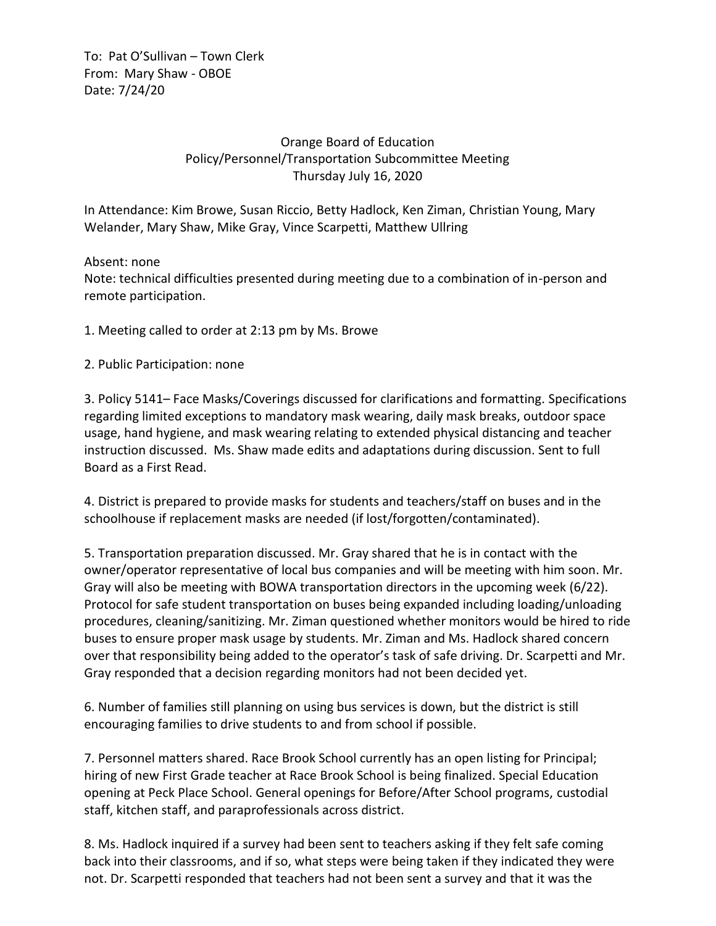To: Pat O'Sullivan – Town Clerk From: Mary Shaw - OBOE Date: 7/24/20

## Orange Board of Education Policy/Personnel/Transportation Subcommittee Meeting Thursday July 16, 2020

In Attendance: Kim Browe, Susan Riccio, Betty Hadlock, Ken Ziman, Christian Young, Mary Welander, Mary Shaw, Mike Gray, Vince Scarpetti, Matthew Ullring

Absent: none Note: technical difficulties presented during meeting due to a combination of in-person and remote participation.

1. Meeting called to order at 2:13 pm by Ms. Browe

## 2. Public Participation: none

3. Policy 5141– Face Masks/Coverings discussed for clarifications and formatting. Specifications regarding limited exceptions to mandatory mask wearing, daily mask breaks, outdoor space usage, hand hygiene, and mask wearing relating to extended physical distancing and teacher instruction discussed. Ms. Shaw made edits and adaptations during discussion. Sent to full Board as a First Read.

4. District is prepared to provide masks for students and teachers/staff on buses and in the schoolhouse if replacement masks are needed (if lost/forgotten/contaminated).

5. Transportation preparation discussed. Mr. Gray shared that he is in contact with the owner/operator representative of local bus companies and will be meeting with him soon. Mr. Gray will also be meeting with BOWA transportation directors in the upcoming week (6/22). Protocol for safe student transportation on buses being expanded including loading/unloading procedures, cleaning/sanitizing. Mr. Ziman questioned whether monitors would be hired to ride buses to ensure proper mask usage by students. Mr. Ziman and Ms. Hadlock shared concern over that responsibility being added to the operator's task of safe driving. Dr. Scarpetti and Mr. Gray responded that a decision regarding monitors had not been decided yet.

6. Number of families still planning on using bus services is down, but the district is still encouraging families to drive students to and from school if possible.

7. Personnel matters shared. Race Brook School currently has an open listing for Principal; hiring of new First Grade teacher at Race Brook School is being finalized. Special Education opening at Peck Place School. General openings for Before/After School programs, custodial staff, kitchen staff, and paraprofessionals across district.

8. Ms. Hadlock inquired if a survey had been sent to teachers asking if they felt safe coming back into their classrooms, and if so, what steps were being taken if they indicated they were not. Dr. Scarpetti responded that teachers had not been sent a survey and that it was the